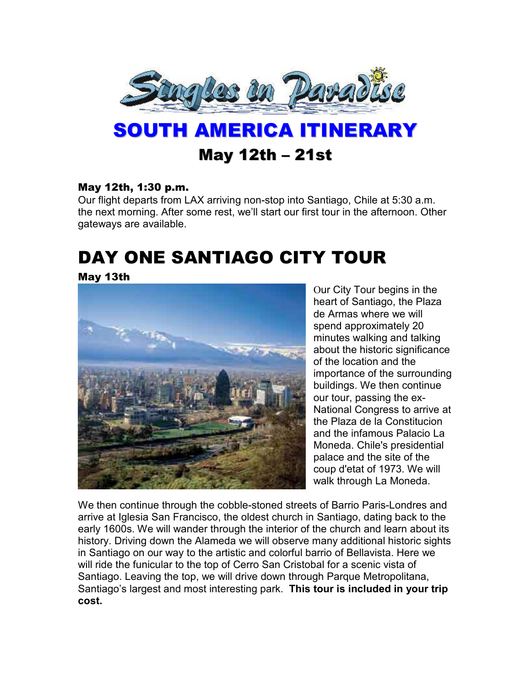

# SOUTH AMERICA ITINERARY May 12th – 21st

#### May 12th, 1:30 p.m.

Our flight departs from LAX arriving non-stop into Santiago, Chile at 5:30 a.m. the next morning. After some rest, we'll start our first tour in the afternoon. Other gateways are available.

## DAY ONE SANTIAGO CITY TOUR

#### May 13th



Our City Tour begins in the heart of Santiago, the Plaza de Armas where we will spend approximately 20 minutes walking and talking about the historic significance of the location and the importance of the surrounding buildings. We then continue our tour, passing the ex-National Congress to arrive at the Plaza de la Constitucion and the infamous Palacio La Moneda. Chile's presidential palace and the site of the coup d'etat of 1973. We will walk through La Moneda.

We then continue through the cobble-stoned streets of Barrio Paris-Londres and arrive at Iglesia San Francisco, the oldest church in Santiago, dating back to the early 1600s. We will wander through the interior of the church and learn about its history. Driving down the Alameda we will observe many additional historic sights in Santiago on our way to the artistic and colorful barrio of Bellavista. Here we will ride the funicular to the top of Cerro San Cristobal for a scenic vista of Santiago. Leaving the top, we will drive down through Parque Metropolitana, Santiago's largest and most interesting park. **This tour is included in your trip cost.**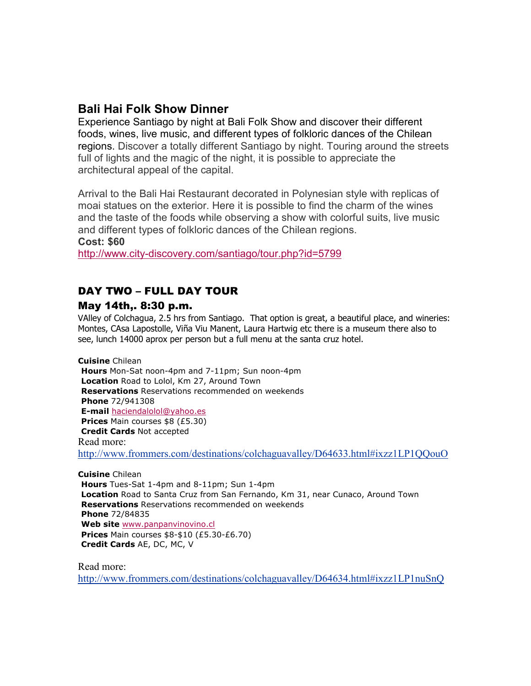## **Bali Hai Folk Show Dinner**

Experience Santiago by night at Bali Folk Show and discover their different foods, wines, live music, and different types of folkloric dances of the Chilean regions. Discover a totally different Santiago by night. Touring around the streets full of lights and the magic of the night, it is possible to appreciate the architectural appeal of the capital.

Arrival to the Bali Hai Restaurant decorated in Polynesian style with replicas of moai statues on the exterior. Here it is possible to find the charm of the wines and the taste of the foods while observing a show with colorful suits, live music and different types of folkloric dances of the Chilean regions. **Cost: \$60** 

http://www.city-discovery.com/santiago/tour.php?id=5799

### DAY TWO – FULL DAY TOUR

#### May 14th,. 8:30 p.m.

VAlley of Colchagua, 2.5 hrs from Santiago. That option is great, a beautiful place, and wineries: Montes, CAsa Lapostolle, Viña Viu Manent, Laura Hartwig etc there is a museum there also to see, lunch 14000 aprox per person but a full menu at the santa cruz hotel.

**Cuisine** Chilean **Hours** Mon-Sat noon-4pm and 7-11pm; Sun noon-4pm **Location** Road to Lolol, Km 27, Around Town **Reservations** Reservations recommended on weekends **Phone** 72/941308 **E-mail** haciendalolol@yahoo.es **Prices** Main courses \$8 (£5.30) **Credit Cards** Not accepted Read more: http://www.frommers.com/destinations/colchaguavalley/D64633.html#ixzz1LP1QQouO

**Cuisine** Chilean **Hours** Tues-Sat 1-4pm and 8-11pm; Sun 1-4pm **Location** Road to Santa Cruz from San Fernando, Km 31, near Cunaco, Around Town **Reservations** Reservations recommended on weekends **Phone** 72/84835 Web site www.panpanvinovino.cl **Prices** Main courses \$8-\$10 (£5.30-£6.70) **Credit Cards** AE, DC, MC, V

Read more: http://www.frommers.com/destinations/colchaguavalley/D64634.html#ixzz1LP1nuSnQ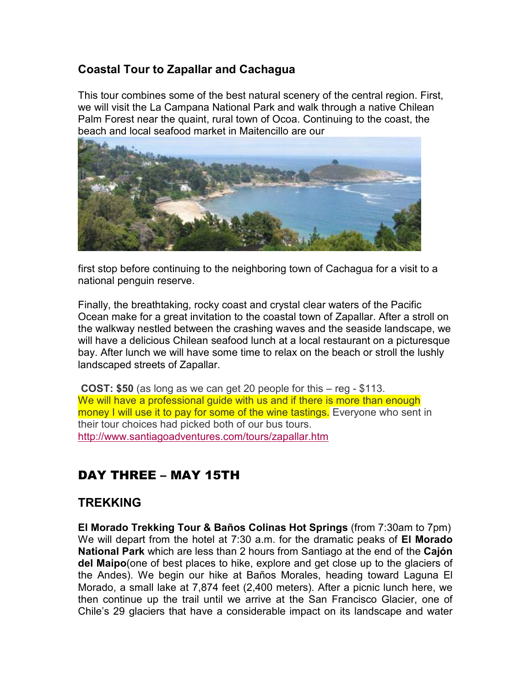## **Coastal Tour to Zapallar and Cachagua**

This tour combines some of the best natural scenery of the central region. First, we will visit the La Campana National Park and walk through a native Chilean Palm Forest near the quaint, rural town of Ocoa. Continuing to the coast, the beach and local seafood market in Maitencillo are our



first stop before continuing to the neighboring town of Cachagua for a visit to a national penguin reserve.

Finally, the breathtaking, rocky coast and crystal clear waters of the Pacific Ocean make for a great invitation to the coastal town of Zapallar. After a stroll on the walkway nestled between the crashing waves and the seaside landscape, we will have a delicious Chilean seafood lunch at a local restaurant on a picturesque bay. After lunch we will have some time to relax on the beach or stroll the lushly landscaped streets of Zapallar.

**COST: \$50** (as long as we can get 20 people for this – reg - \$113. We will have a professional quide with us and if there is more than enough money I will use it to pay for some of the wine tastings. Everyone who sent in their tour choices had picked both of our bus tours. http://www.santiagoadventures.com/tours/zapallar.htm

## DAY THREE – MAY 15TH

#### **TREKKING**

**El Morado Trekking Tour & Baños Colinas Hot Springs** (from 7:30am to 7pm) We will depart from the hotel at 7:30 a.m. for the dramatic peaks of **El Morado National Park** which are less than 2 hours from Santiago at the end of the **Cajón del Maipo**(one of best places to hike, explore and get close up to the glaciers of the Andes). We begin our hike at Baños Morales, heading toward Laguna El Morado, a small lake at 7,874 feet (2,400 meters). After a picnic lunch here, we then continue up the trail until we arrive at the San Francisco Glacier, one of Chile's 29 glaciers that have a considerable impact on its landscape and water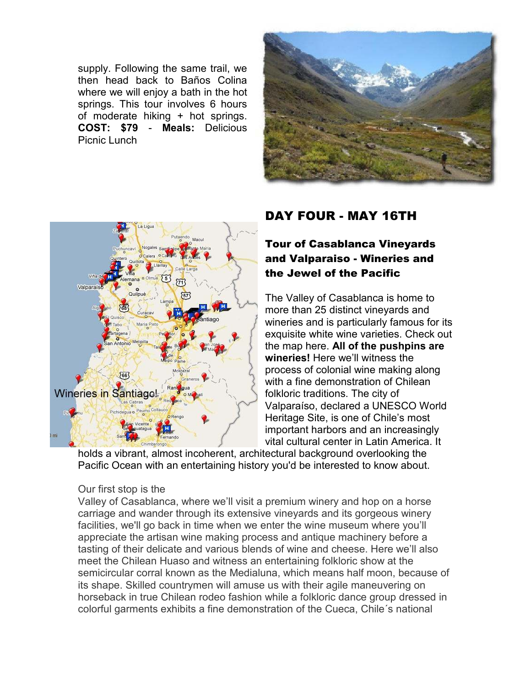supply. Following the same trail, we then head back to Baños Colina where we will enjoy a bath in the hot springs. This tour involves 6 hours of moderate hiking + hot springs. **COST: \$79** - **Meals:** Delicious Picnic Lunch





## DAY FOUR - MAY 16TH

## Tour of Casablanca Vineyards and Valparaiso - Wineries and the Jewel of the Pacific

The Valley of Casablanca is home to more than 25 distinct vineyards and wineries and is particularly famous for its exquisite white wine varieties. Check out the map here. **All of the pushpins are wineries!** Here we'll witness the process of colonial wine making along with a fine demonstration of Chilean folkloric traditions. The city of Valparaíso, declared a UNESCO World Heritage Site, is one of Chile's most important harbors and an increasingly vital cultural center in Latin America. It

holds a vibrant, almost incoherent, architectural background overlooking the Pacific Ocean with an entertaining history you'd be interested to know about.

#### Our first stop is the

Valley of Casablanca, where we'll visit a premium winery and hop on a horse carriage and wander through its extensive vineyards and its gorgeous winery facilities, we'll go back in time when we enter the wine museum where you'll appreciate the artisan wine making process and antique machinery before a tasting of their delicate and various blends of wine and cheese. Here we'll also meet the Chilean Huaso and witness an entertaining folkloric show at the semicircular corral known as the Medialuna, which means half moon, because of its shape. Skilled countrymen will amuse us with their agile maneuvering on horseback in true Chilean rodeo fashion while a folkloric dance group dressed in colorful garments exhibits a fine demonstration of the Cueca, Chile´s national